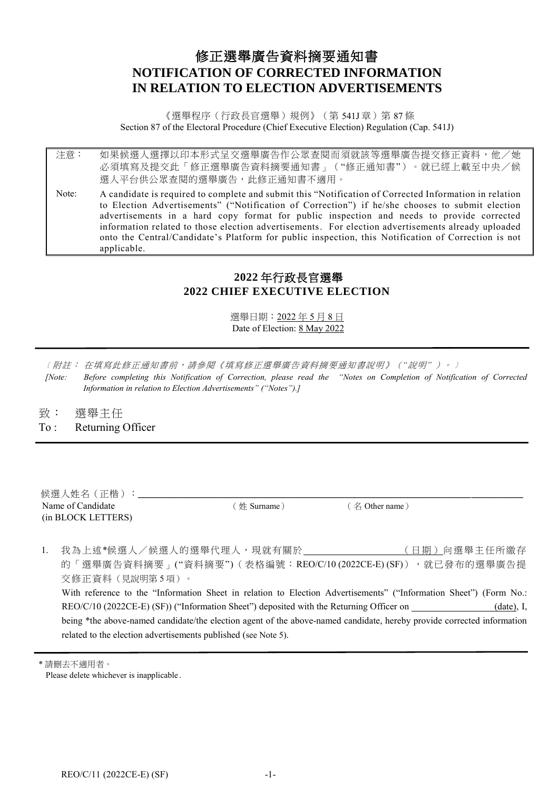# 修正選舉廣告資料摘要通知書 **NOTIFICATION OF CORRECTED INFORMATION IN RELATION TO ELECTION ADVERTISEMENTS**

《選舉程序(行政長官選舉)規例》(第 541J 章) 第 87 條 Section 87 of the Electoral Procedure (Chief Executive Election) Regulation (Cap. 541J)

注意: 如果候選人選擇以印本形式呈交選舉廣告作公眾查閱而須就該等選舉廣告提交修正資料,他/她 必須填寫及提交此「修正選舉廣告資料摘要通知書」("修正通知書")。就已經上載至中央/候 選人平台供公眾查閱的選舉廣告,此修正通知書不適用。

Note: A candidate is required to complete and submit this "Notification of Corrected Information in relation to Election Advertisements" ("Notification of Correction") if he/she chooses to submit election advertisements in a hard copy format for public inspection and needs to provide corrected information related to those election advertisements. For election advertisements already uploaded onto the Central/Candidate's Platform for public inspection, this Notification of Correction is not applicable.

## **2022** 年行政長官選舉 **2022 CHIEF EXECUTIVE ELECTION**

選舉日期:2022 年 5 月 8 日 Date of Election: 8 May 2022

- ﹝附註: 在填寫此修正通知書前,請參閱《填寫修正選舉廣告資料摘要通知書說明》(*"*說明*"* )。﹞ *[Note: Before completing this Notification of Correction, please read the "Notes on Completion of Notification of Corrected Information in relation to Election Advertisements" ("Notes").]*
- 致: 選舉主任
- To : Returning Officer

| 候選人姓名 (正楷)         |             |                |  |
|--------------------|-------------|----------------|--|
| Name of Candidate  | 〔姓 Surname〕 | (名 Other name) |  |
| (in BLOCK LETTERS) |             |                |  |

1. 我為上述\*候選人/候選人的選舉代理人,現就有關於\_\_\_\_\_\_\_\_(日期)向選舉主任所繳存 的「選舉廣告資料摘要」("資料摘要")(表格編號:REO/C/10 (2022CE-E) (SF)),就已發布的選舉廣告提 交修正資料(見說明第 5 項)。 With reference to the "Information Sheet in relation to Election Advertisements" ("Information Sheet") (Form No.: REO/C/10 (2022CE-E) (SF)) ("Information Sheet") deposited with the Returning Officer on (date), I, being \*the above-named candidate/the election agent of the above-named candidate, hereby provide corrected information related to the election advertisements published (see Note 5).

<sup>\*</sup> 請刪去不適用者。 Please delete whichever is inapplicable.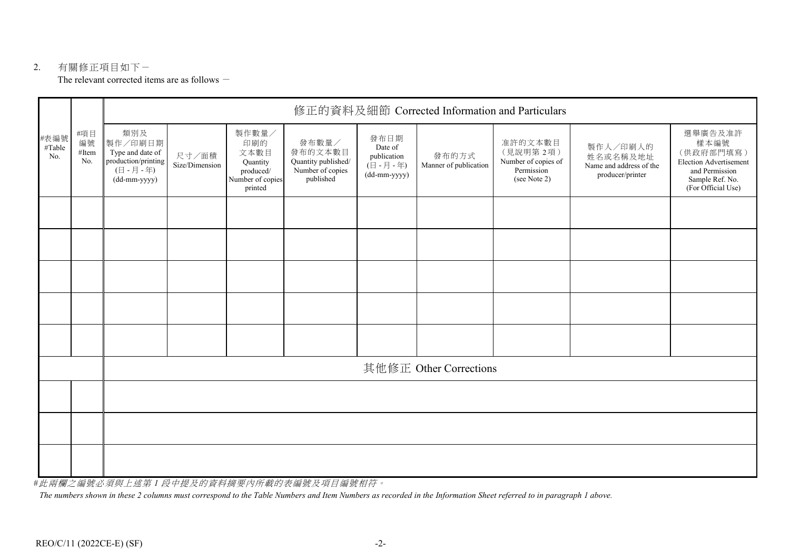#### 2. 有關修正項目如下- The relevant corrected items are as follows  $-$

|                       | #項目<br>編號<br>#Item<br>No. | 修正的資料及細節 Corrected Information and Particulars                                                               |                         |                                                                              |                                                                          |                                                               |                                |                                                                          |                                                                     |                                                                                                                          |  |
|-----------------------|---------------------------|--------------------------------------------------------------------------------------------------------------|-------------------------|------------------------------------------------------------------------------|--------------------------------------------------------------------------|---------------------------------------------------------------|--------------------------------|--------------------------------------------------------------------------|---------------------------------------------------------------------|--------------------------------------------------------------------------------------------------------------------------|--|
| #表編號<br>#Table<br>No. |                           | 類別及<br>製作/印刷日期<br>Type and date of<br>production/printing<br>$(\exists -\exists -\exists +)$<br>(dd-mm-yyyy) | 尺寸/面積<br>Size/Dimension | 製作數量/<br>印刷的<br>文本數目<br>Quantity<br>produced/<br>Number of copies<br>printed | 發布數量/<br>發布的文本數目<br>Quantity published/<br>Number of copies<br>published | 發布日期<br>Date of<br>publication<br>(日 - 月 - 年)<br>(dd-mm-yyyy) | 發布的方式<br>Manner of publication | 准許的文本數目<br>(見說明第2項)<br>Number of copies of<br>Permission<br>(see Note 2) | 製作人/印刷人的<br>姓名或名稱及地址<br>Name and address of the<br>producer/printer | 選舉廣告及准許<br>樣本編號<br>(供政府部門填寫)<br><b>Election Advertisement</b><br>and Permission<br>Sample Ref. No.<br>(For Official Use) |  |
|                       |                           |                                                                                                              |                         |                                                                              |                                                                          |                                                               |                                |                                                                          |                                                                     |                                                                                                                          |  |
|                       |                           |                                                                                                              |                         |                                                                              |                                                                          |                                                               |                                |                                                                          |                                                                     |                                                                                                                          |  |
|                       |                           |                                                                                                              |                         |                                                                              |                                                                          |                                                               |                                |                                                                          |                                                                     |                                                                                                                          |  |
|                       |                           |                                                                                                              |                         |                                                                              |                                                                          |                                                               |                                |                                                                          |                                                                     |                                                                                                                          |  |
|                       |                           |                                                                                                              |                         |                                                                              |                                                                          |                                                               |                                |                                                                          |                                                                     |                                                                                                                          |  |
|                       |                           | 其他修正 Other Corrections                                                                                       |                         |                                                                              |                                                                          |                                                               |                                |                                                                          |                                                                     |                                                                                                                          |  |
|                       |                           |                                                                                                              |                         |                                                                              |                                                                          |                                                               |                                |                                                                          |                                                                     |                                                                                                                          |  |
|                       |                           |                                                                                                              |                         |                                                                              |                                                                          |                                                               |                                |                                                                          |                                                                     |                                                                                                                          |  |
|                       |                           |                                                                                                              |                         |                                                                              |                                                                          |                                                               |                                |                                                                          |                                                                     |                                                                                                                          |  |

#此兩欄之編號必須與上述第 *1* 段中提及的資料摘要內所載的表編號及項目編號相符。

*The numbers shown in these 2 columns must correspond to the Table Numbers and Item Numbers as recorded in the Information Sheet referred to in paragraph 1 above.*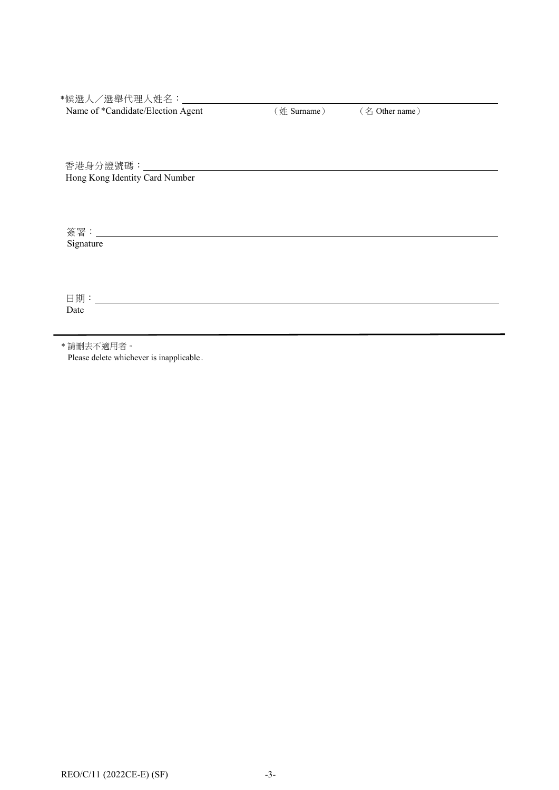\*候選人/選舉代理人姓名:

Name of \*Candidate/Election Agent (姓 Surname) (名 Other name)

香港身分證號碼: Hong Kong Identity Card Number

簽署: Signature

日期: Date

\* 請刪去不適用者。

Please delete whichever is inapplicable.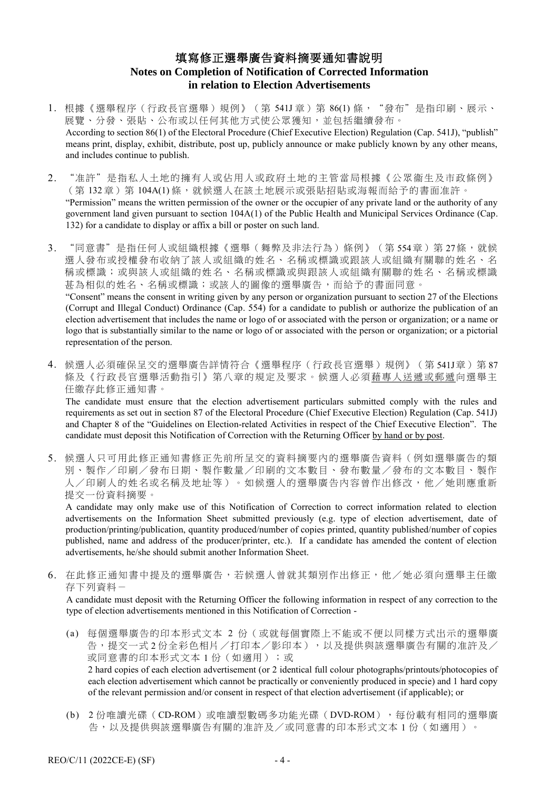# 填寫修正選舉廣告資料摘要通知書說明 **Notes on Completion of Notification of Corrected Information in relation to Election Advertisements**

- 1. 根據[《選舉程序\(行政長官選舉\)規例》](http://www.legislation.gov.hk/blis_ind.nsf/WebView?OpenAgent&vwpg=CurAllChinDoc*538*100*538.5#538.5)(第 541J 章)第 86(1)條, "發布"是指印刷、展示、 展覽、分發、張貼、公布或以任何其他方式使公眾獲知,並包括繼續發布。 According to section 86(1) of the Electoral Procedure (Chief Executive Election) Regulation (Cap. 541J), "publish" means print, display, exhibit, distribute, post up, publicly announce or make publicly known by any other means, and includes continue to publish.
- 2. "准許"是指私人土地的擁有人或佔用人或政府土地的主管當局根據《公眾衞生及市政條例》 (第132章)第 104A(1)條,就候選人在該土地展示或張貼招貼或海報而給予的書面准許。 "Permission" means the written permission of the owner or the occupier of any private land or the authority of any government land given pursuant to section 104A(1) of the Public Health and Municipal Services Ordinance (Cap. 132) for a candidate to display or affix a bill or poster on such land.
- 3. "同意書"是指任何人或組織根據[《選舉\(舞弊及非法行為\)條例》](http://www.legislation.gov.hk/blis_ind.nsf/WebView?OpenAgent&vwpg=CurAllChinDoc*551*100*551.1#551.1)(第554章)第27條,就候 選人發布或授權發布收納了該人或組織的姓名、名稱或標識或跟該人或組織有關聯的姓名、名 稱或標識;或與該人或組織的姓名、名稱或標識或與跟該人或組織有關聯的姓名、名稱或標識 甚為相似的姓名、名稱或標識;或該人的圖像的選舉廣告,而給予的書面同意。 "Consent" means the consent in writing given by any person or organization pursuant to section 27 of the Elections (Corrupt and Illegal Conduct) Ordinance (Cap. 554) for a candidate to publish or authorize the publication of an election advertisement that includes the name or logo of or associated with the person or organization; or a name or logo that is substantially similar to the name or logo of or associated with the person or organization; or a pictorial representation of the person.
- 4. 候選人必須確保呈交的選舉廣告詳情符合《選舉程序(行政長官選舉)規例》(第541J章)第87 條及《行政長官選舉活動指引》第八章的規定及要求。候選人必須藉專人送遞或郵遞向選舉主 任繳存此修正通知書。

The candidate must ensure that the election advertisement particulars submitted comply with the rules and requirements as set out in section 87 of the Electoral Procedure (Chief Executive Election) Regulation (Cap. 541J) and Chapter 8 of the "Guidelines on Election-related Activities in respect of the Chief Executive Election". The candidate must deposit this Notification of Correction with the Returning Officer by hand or by post.

5. 候選人只可用此修正通知書修正先前所呈交的資料摘要內的選舉廣告資料(例如選舉廣告的類 別、製作/印刷/發布日期、製作數量/印刷的文本數目、發布數量/發布的文本數目、製作 人/印刷人的姓名或名稱及地址等)。如候選人的選舉廣告內容曾作出修改,他/她則應重新 提交一份資料摘要。

A candidate may only make use of this Notification of Correction to correct information related to election advertisements on the Information Sheet submitted previously (e.g. type of election advertisement, date of production/printing/publication, quantity produced/number of copies printed, quantity published/number of copies published, name and address of the producer/printer, etc.). If a candidate has amended the content of election advertisements, he/she should submit another Information Sheet.

6. 在此修正通知書中提及的選舉廣告,若候選人曾就其類別作出修正,他/她必須向選舉主任繳 存下列資料-

A candidate must deposit with the Returning Officer the following information in respect of any correction to the type of election advertisements mentioned in this Notification of Correction -

(a) 每個選舉廣告的印本形式文本 2 份(或就每個實際上不能或不便以同樣方式出示的選舉廣 告,提交一式 2 份全彩色相片/打印本/影印本),以及提供與該選舉廣告有關的准許及/ 或同意書的印本形式文本 1 份 (如適用);或 2 hard copies of each election advertisement (or 2 identical full colour photographs/printouts/photocopies of

each election advertisement which cannot be practically or conveniently produced in specie) and 1 hard copy of the relevant permission and/or consent in respect of that election advertisement (if applicable); or

(b) 2 份唯讀光碟(CD-ROM)或唯讀型數碼多功能光碟(DVD-ROM),每份載有相同的選舉廣 告,以及提供與該選舉廣告有關的准許及/或同意書的印本形式文本 1 份(如適用)。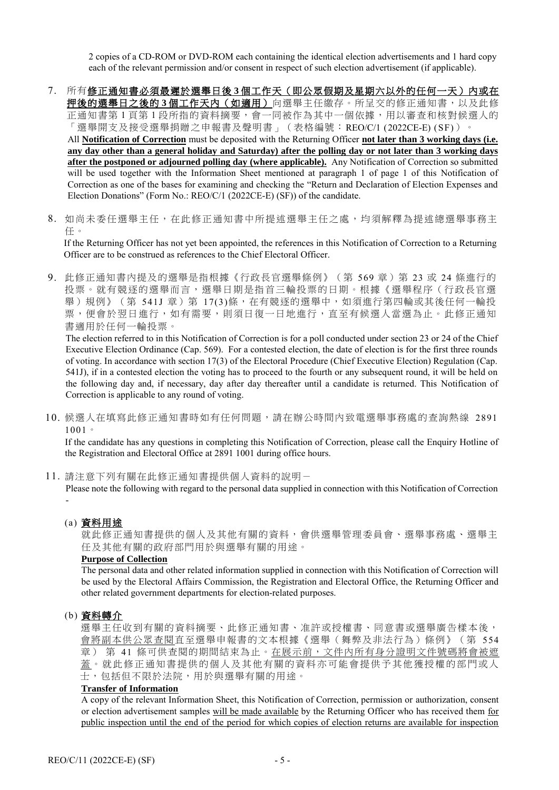2 copies of a CD-ROM or DVD-ROM each containing the identical election advertisements and 1 hard copy each of the relevant permission and/or consent in respect of such election advertisement (if applicable).

- 7. 所有修正通知書必須最遲於選舉日後 **3** 個工作天(即公眾假期及星期六以外的任何一天)內或在 押後的選舉日之後的 **3** 個工作天內(如適用)向選舉主任繳存。所呈交的修正通知書,以及此修 正通知書第 1 頁第 1 段所指的資料摘要,會一同被作為其中一個依據,用以審查和核對候選人的 「選舉開支及接受選舉捐贈之申報書及聲明書」(表格編號:REO/C/1 (2022CE-E) (SF))。 All **Notification of Correction** must be deposited with the Returning Officer **not later than 3 working days (i.e. any day other than a general holiday and Saturday) after the polling day or not later than 3 working days after the postponed or adjourned polling day (where applicable).** Any Notification of Correction so submitted will be used together with the Information Sheet mentioned at paragraph 1 of page 1 of this Notification of Correction as one of the bases for examining and checking the "Return and Declaration of Election Expenses and Election Donations" (Form No.: REO/C/1 (2022CE-E) (SF)) of the candidate.
- 8. 如尚未委任選舉主任,在此修正通知書中所提述選舉主任之處,均須解釋為提述總選舉事務主 任。

If the Returning Officer has not yet been appointed, the references in this Notification of Correction to a Returning Officer are to be construed as references to the Chief Electoral Officer.

9. 此修正通知書內提及的選舉是指根據《行政長官選舉條例》(第 569章)第 23 或 24 條進行的 投票。就有競逐的選舉而言,選舉日期是指首三輪投票的日期。根據《選舉程序(行政長官選 舉)規例》(第 541J 章) 第 17(3)條,在有競逐的選舉中,如須進行第四輪或其後任何一輪投 票,便會於翌日進行,如有需要,則須日復一日地進行,直至有候選人當選為止。 此修正通知 書適用於任何一輪投票。

The election referred to in this Notification of Correction is for a poll conducted under section 23 or 24 of the Chief Executive Election Ordinance (Cap. 569). For a contested election, the date of election is for the first three rounds of voting. In accordance with section 17(3) of the Electoral Procedure (Chief Executive Election) Regulation (Cap. 541J), if in a contested election the voting has to proceed to the fourth or any subsequent round, it will be held on the following day and, if necessary, day after day thereafter until a candidate is returned. This Notification of Correction is applicable to any round of voting.

10. 候選人在填寫此修正通知書時如有任何問題,請在辦公時間內致電選舉事務處的查詢熱線 2891 1001。

If the candidate has any questions in completing this Notification of Correction, please call the Enquiry Hotline of the Registration and Electoral Office at 2891 1001 during office hours.

11. 請注意下列有關在此修正通知書提供個人資料的說明-

Please note the following with regard to the personal data supplied in connection with this Notification of Correction -

#### (a) 資料用途

就此修正通知書提供的個人及其他有關的資料,會供選舉管理委員會、選舉事務處、選舉主 任及其他有關的政府部門用於與選舉有關的用途。

#### **Purpose of Collection**

The personal data and other related information supplied in connection with this Notification of Correction will be used by the Electoral Affairs Commission, the Registration and Electoral Office, the Returning Officer and other related government departments for election-related purposes.

#### (b) 資料轉介

選舉主任收到有關的資料摘要、此修正通知書、准許或授權書、同意書或選舉廣告樣本後, 會將副本供公眾查閱直至選舉申報書的文本根據《選舉(舞弊及非法行為)條例》(第 554 章) 第 41 條可供查閱的期間結束為止。在展示前,文件內所有身分證明文件號碼將會被遮 蓋。就此修正通知書提供的個人及其他有關的資料亦可能會提供予其他獲授權的部門或人 士,包括但不限於法院,用於與選舉有關的用途。

#### **Transfer of Information**

A copy of the relevant Information Sheet, this Notification of Correction, permission or authorization, consent or election advertisement samples will be made available by the Returning Officer who has received them for public inspection until the end of the period for which copies of election returns are available for inspection